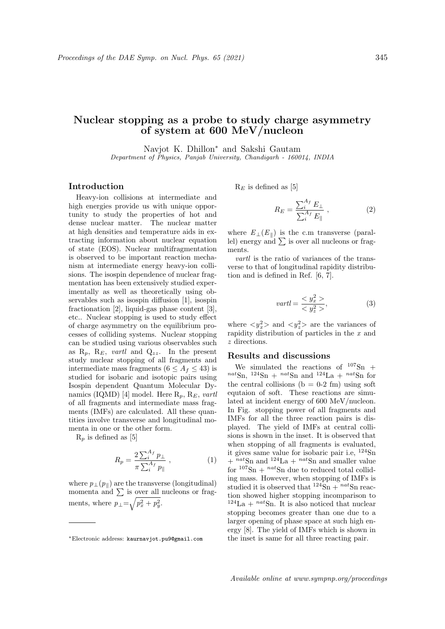## Nuclear stopping as a probe to study charge asymmetry of system at 600 MeV/nucleon

Navjot K. Dhillon<sup>∗</sup> and Sakshi Gautam Department of Physics, Panjab University, Chandigarh - 160014, INDIA

## Introduction

Heavy-ion collisions at intermediate and high energies provide us with unique opportunity to study the properties of hot and dense nuclear matter. The nuclear matter at high densities and temperature aids in extracting information about nuclear equation of state (EOS). Nuclear multifragmentation is observed to be important reaction mechanism at intermediate energy heavy-ion collisions. The isospin dependence of nuclear fragmentation has been extensively studied experimentally as well as theoretically using observables such as isospin diffusion [1], isospin fractionation [2], liquid-gas phase content [3], etc.. Nuclear stopping is used to study effect of charge asymmetry on the equilibrium processes of colliding systems. Nuclear stopping can be studied using various observables such as  $R_p$ ,  $R_E$ , vartl and  $Q_{zz}$ . In the present study nuclear stopping of all fragments and intermediate mass fragments ( $6 \leq A_f \leq 43$ ) is studied for isobaric and isotopic pairs using Isospin dependent Quantum Molecular Dynamics (IQMD) [4] model. Here  $R_p$ ,  $R_E$ , vartl of all fragments and intermediate mass fragments (IMFs) are calculated. All these quantities involve transverse and longitudinal momenta in one or the other form.

 $R_p$  is defined as [5]

$$
R_p = \frac{2\sum_{i}^{A_f} p_{\perp}}{\pi \sum_{i}^{A_f} p_{\parallel}} , \qquad (1)
$$

where  $p_{\perp}(p_{\parallel})$  are the transverse (longitudinal) momenta and  $\sum$  is over all nucleons or fragments, where  $p_{\perp} = \sqrt{p_x^2 + p_y^2}$ .

 $R_E$  is defined as [5]

$$
R_E = \frac{\sum_{i}^{A_f} E_{\perp}}{\sum_{i}^{A_f} E_{\parallel}} \,, \tag{2}
$$

where  $E_{\perp}(E_{\parallel})$  is the c.m transverse (parallel) energy and  $\sum$  is over all nucleons or fragments.

vartl is the ratio of variances of the transverse to that of longitudinal rapidity distribution and is defined in Ref. [6, 7].

$$
vartl = \frac{y_x^2}{\langle y_z^2 \rangle},\tag{3}
$$

where  $\langle y_x^2 \rangle$  and  $\langle y_z^2 \rangle$  are the variances of rapidity distribution of particles in the x and z directions.

## Results and discussions

We simulated the reactions of  $107\text{Sn}$  +  $n^{nat}Sn$ ,  $124Sn + n^{nat}Sn$  and  $124La + n^{nat}Sn$  for the central collisions ( $b = 0-2$  fm) using soft equtaion of soft. These reactions are simulated at incident energy of 600 MeV/nucleon. In Fig. stopping power of all fragments and IMFs for all the three reaction pairs is displayed. The yield of IMFs at central collisions is shown in the inset. It is observed that when stopping of all fragments is evaluated, it gives same value for isobaric pair i.e, <sup>124</sup>Sn  $+$ <sup>nat</sup>Sn and <sup>124</sup>La  $+$ <sup>nat</sup>Sn and smaller value for  $107\text{Sn} + \frac{nat\text{Sn}}{107}$  due to reduced total colliding mass. However, when stopping of IMFs is studied it is observed that  $124\text{Sn} + nat\text{Sn}$  reaction showed higher stopping incomparison to  $124$ La +  $nat$ Sn. It is also noticed that nuclear stopping becomes greater than one due to a larger opening of phase space at such high energy [8]. The yield of IMFs which is shown in the inset is same for all three reacting pair.

<sup>∗</sup>Electronic address: kaurnavjot.pu9@gmail.com